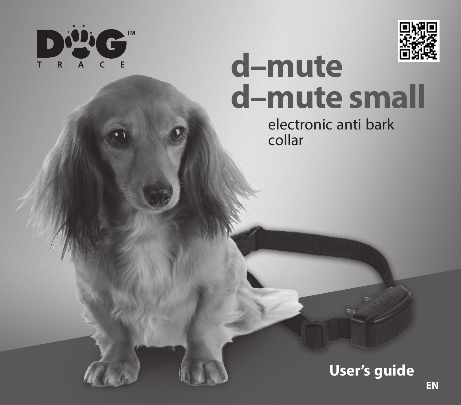



# **d–mute d–mute small**

electronic anti bark collar

**User's guide**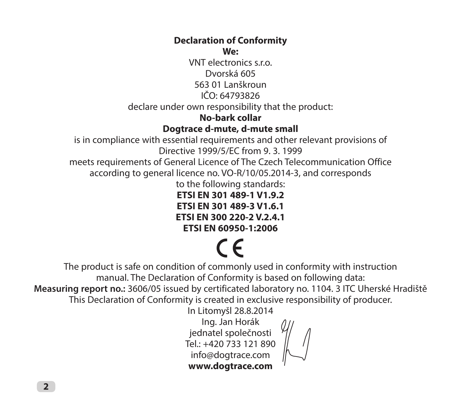#### **Declaration of Conformity We:**

VNT electronics s.r.o. Dvorská 605 563 01 Lanškroun IČO: 64793826 declare under own responsibility that the product:

#### **No-bark collar**

#### **Dogtrace d-mute, d-mute small**

is in compliance with essential requirements and other relevant provisions of Directive 1999/5/EC from 9. 3. 1999

meets requirements of General Licence of The Czech Telecommunication Office according to general licence no. VO-R/10/05.2014-3, and corresponds

to the following standards:

**ETSI EN 301 489-1 V1.9.2 ETSI EN 301 489-3 V1.6.1 ETSI EN 300 220-2 V.2.4.1**

**ETSI EN 60950-1:2006**

# $\epsilon$

The product is safe on condition of commonly used in conformity with instruction manual. The Declaration of Conformity is based on following data:

**Measuring report no.:** 3606/05 issued by certificated laboratory no. 1104. 3 ITC Uherské Hradiště This Declaration of Conformity is created in exclusive responsibility of producer.

In Litomyšl 28.8.2014

Ing. Jan Horák jednatel společnosti Tel.: +420 733 121 890 info@dogtrace.com **www.dogtrace.com**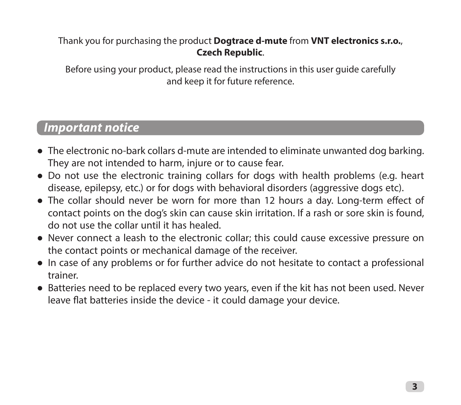#### Thank you for purchasing the product **Dogtrace d-mute** from **VNT electronics s.r.o.**, **Czech Republic**.

Before using your product, please read the instructions in this user guide carefully and keep it for future reference.

## *Important notice*

- The electronic no-bark collars d-mute are intended to eliminate unwanted dog barking. They are not intended to harm, injure or to cause fear.
- Do not use the electronic training collars for dogs with health problems (e.g. heart disease, epilepsy, etc.) or for dogs with behavioral disorders (aggressive dogs etc).
- The collar should never be worn for more than 12 hours a day. Long-term effect of contact points on the dog's skin can cause skin irritation. If a rash or sore skin is found, do not use the collar until it has healed.
- Never connect a leash to the electronic collar; this could cause excessive pressure on the contact points or mechanical damage of the receiver.
- In case of any problems or for further advice do not hesitate to contact a professional trainer.
- Batteries need to be replaced every two years, even if the kit has not been used. Never leave flat batteries inside the device - it could damage your device.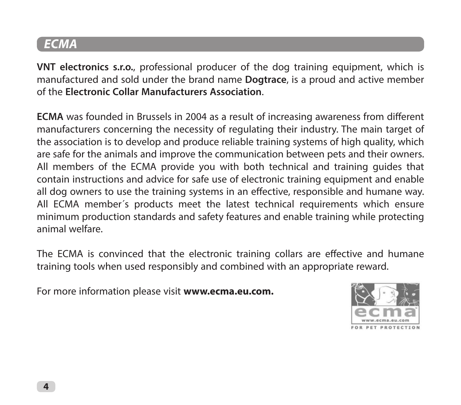## *ECMA*

**VNT electronics s.r.o.**, professional producer of the dog training equipment, which is manufactured and sold under the brand name **Dogtrace**, is a proud and active member of the **Electronic Collar Manufacturers Association**.

**ECMA** was founded in Brussels in 2004 as a result of increasing awareness from different manufacturers concerning the necessity of regulating their industry. The main target of the association is to develop and produce reliable training systems of high quality, which are safe for the animals and improve the communication between pets and their owners. All members of the ECMA provide you with both technical and training guides that contain instructions and advice for safe use of electronic training equipment and enable all dog owners to use the training systems in an effective, responsible and humane way. All ECMA member´s products meet the latest technical requirements which ensure minimum production standards and safety features and enable training while protecting animal welfare.

The ECMA is convinced that the electronic training collars are effective and humane training tools when used responsibly and combined with an appropriate reward.

For more information please visit **www.ecma.eu.com.**

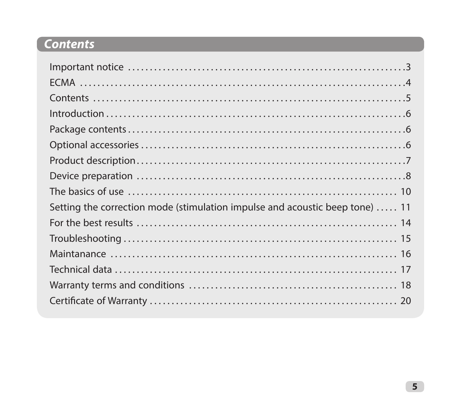# *Contents*

| Setting the correction mode (stimulation impulse and acoustic beep tone)  11 |
|------------------------------------------------------------------------------|
|                                                                              |
|                                                                              |
|                                                                              |
|                                                                              |
|                                                                              |
|                                                                              |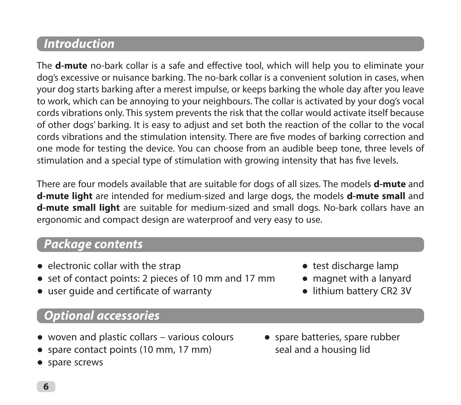## *Introduction*

The **d-mute** no-bark collar is a safe and effective tool, which will help you to eliminate your dog's excessive or nuisance barking. The no-bark collar is a convenient solution in cases, when your dog starts barking after a merest impulse, or keeps barking the whole day after you leave to work, which can be annoying to your neighbours. The collar is activated by your dog's vocal cords vibrations only. This system prevents the risk that the collar would activate itself because of other dogs' barking. It is easy to adjust and set both the reaction of the collar to the vocal cords vibrations and the stimulation intensity. There are five modes of barking correction and one mode for testing the device. You can choose from an audible beep tone, three levels of stimulation and a special type of stimulation with growing intensity that has five levels.

There are four models available that are suitable for dogs of all sizes. The models **d-mute** and **d-mute light** are intended for medium-sized and large dogs, the models **d-mute small** and **d-mute small light** are suitable for medium-sized and small dogs. No-bark collars have an ergonomic and compact design are waterproof and very easy to use.

## *Package contents*

- electronic collar with the strap
- set of contact points: 2 pieces of 10 mm and 17 mm
- user quide and certificate of warranty
	- *Optional accessories*
- woven and plastic collars various colours
- spare contact points (10 mm, 17 mm)
- ● spare screws
- ● test discharge lamp
- ● magnet with a lanyard
- ● lithium battery CR2 3V
- spare batteries, spare rubber seal and a housing lid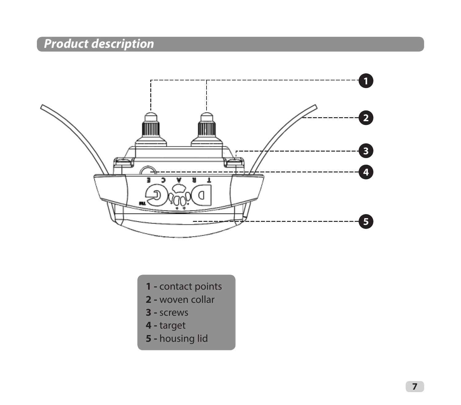# *Product description*



- **1** contact points
- **2** woven collar
- **3** screws
- **4** target
- **5** housing lid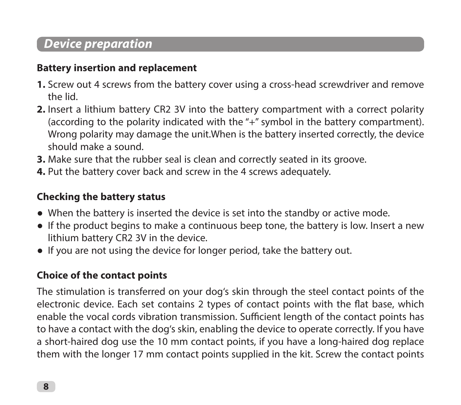## *Device preparation*

#### **Battery insertion and replacement**

- **1.** Screw out 4 screws from the battery cover using a cross-head screwdriver and remove the lid.
- **2.** Insert a lithium battery CR2 3V into the battery compartment with a correct polarity (according to the polarity indicated with the "+" symbol in the battery compartment). Wrong polarity may damage the unit.When is the battery inserted correctly, the device should make a sound.
- **3.** Make sure that the rubber seal is clean and correctly seated in its groove.
- **4.** Put the battery cover back and screw in the 4 screws adequately.

### **Checking the battery status**

- When the battery is inserted the device is set into the standby or active mode.
- If the product begins to make a continuous beep tone, the battery is low. Insert a new lithium battery CR2 3V in the device.
- If you are not using the device for longer period, take the battery out.

### **Choice of the contact points**

The stimulation is transferred on your dog's skin through the steel contact points of the electronic device. Each set contains 2 types of contact points with the flat base, which enable the vocal cords vibration transmission. Sufficient length of the contact points has to have a contact with the dog's skin, enabling the device to operate correctly. If you have a short-haired dog use the 10 mm contact points, if you have a long-haired dog replace them with the longer 17 mm contact points supplied in the kit. Screw the contact points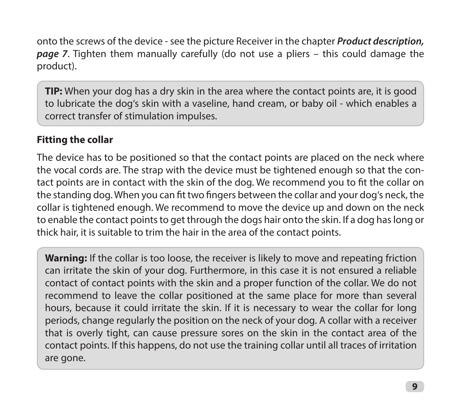onto the screws of the device - see the picture Receiver in the chapter *Product description, page 7*. Tighten them manually carefully (do not use a pliers – this could damage the product).

**TIP:** When your dog has a dry skin in the area where the contact points are, it is good to lubricate the dog's skin with a vaseline, hand cream, or baby oil - which enables a correct transfer of stimulation impulses.

### **Fitting the collar**

The device has to be positioned so that the contact points are placed on the neck where the vocal cords are. The strap with the device must be tightened enough so that the contact points are in contact with the skin of the dog. We recommend you to fit the collar on the standing dog. When you can fit two fingers between the collar and your dog's neck, the collar is tightened enough. We recommend to move the device up and down on the neck to enable the contact points to get through the dogs hair onto the skin. If a dog has long or thick hair, it is suitable to trim the hair in the area of the contact points.

**Warning:** If the collar is too loose, the receiver is likely to move and repeating friction can irritate the skin of your dog. Furthermore, in this case it is not ensured a reliable contact of contact points with the skin and a proper function of the collar. We do not recommend to leave the collar positioned at the same place for more than several hours, because it could irritate the skin. If it is necessary to wear the collar for long periods, change regularly the position on the neck of your dog. A collar with a receiver that is overly tight, can cause pressure sores on the skin in the contact area of the contact points. If this happens, do not use the training collar until all traces of irritation are gone.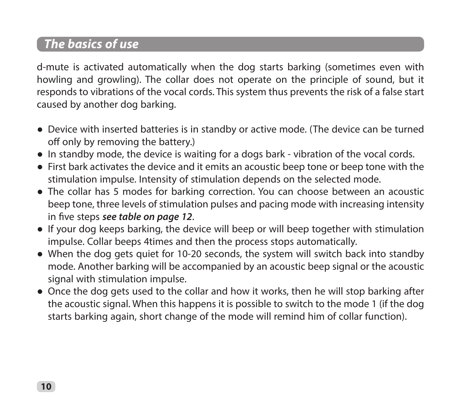# *The basics of use*

d-mute is activated automatically when the dog starts barking (sometimes even with howling and growling). The collar does not operate on the principle of sound, but it responds to vibrations of the vocal cords. This system thus prevents the risk of a false start caused by another dog barking.

- Device with inserted batteries is in standby or active mode. (The device can be turned off only by removing the battery.)
- In standby mode, the device is waiting for a dogs bark vibration of the vocal cords.
- ● First bark activates the device and it emits an acoustic beep tone or beep tone with the stimulation impulse. Intensity of stimulation depends on the selected mode.
- The collar has 5 modes for barking correction. You can choose between an acoustic beep tone, three levels of stimulation pulses and pacing mode with increasing intensity in five steps *see table on page 12*.
- If your dog keeps barking, the device will beep or will beep together with stimulation impulse. Collar beeps 4times and then the process stops automatically.
- When the dog gets quiet for 10-20 seconds, the system will switch back into standby mode. Another barking will be accompanied by an acoustic beep signal or the acoustic signal with stimulation impulse.
- Once the dog gets used to the collar and how it works, then he will stop barking after the acoustic signal. When this happens it is possible to switch to the mode 1 (if the dog starts barking again, short change of the mode will remind him of collar function).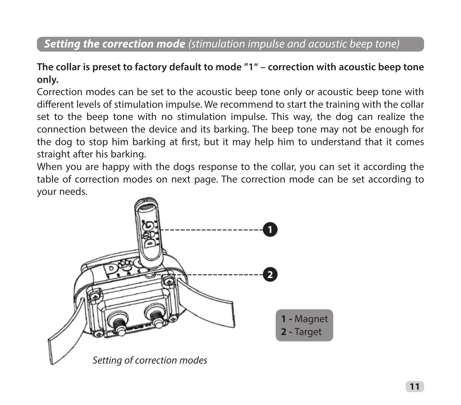## *Setting the correction mode (stimulation impulse and acoustic beep tone)*

#### **The collar is preset to factory default to mode "1" – correction with acoustic beep tone only.**

Correction modes can be set to the acoustic beep tone only or acoustic beep tone with different levels of stimulation impulse. We recommend to start the training with the collar set to the beep tone with no stimulation impulse. This way, the dog can realize the connection between the device and its barking. The beep tone may not be enough for the dog to stop him barking at first, but it may help him to understand that it comes straight after his barking.

When you are happy with the dogs response to the collar, you can set it according the table of correction modes on next page. The correction mode can be set according to your needs.

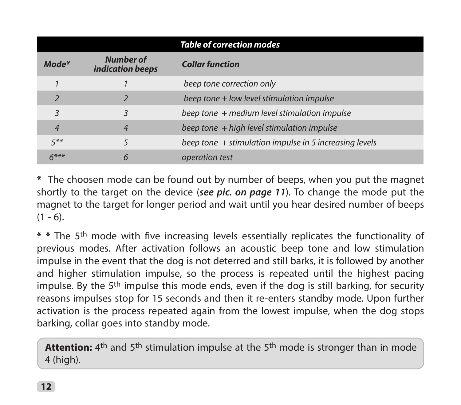| <b>Table of correction modes</b> |                                      |                                                        |  |  |
|----------------------------------|--------------------------------------|--------------------------------------------------------|--|--|
| $Mode*$                          | <b>Number of</b><br>indication beeps | <b>Collar function</b>                                 |  |  |
|                                  |                                      | beep tone correction only                              |  |  |
|                                  |                                      | beep tone + low level stimulation impulse              |  |  |
| 3                                |                                      | beep tone + medium level stimulation impulse           |  |  |
| $\overline{4}$                   | 4                                    | beep tone + high level stimulation impulse             |  |  |
| $5***$                           |                                      | beep tone + stimulation impulse in 5 increasing levels |  |  |
| $6***$                           | 6                                    | operation test                                         |  |  |

**\*** The choosen mode can be found out by number of beeps, when you put the magnet shortly to the target on the device (*see pic. on page 11*). To change the mode put the magnet to the target for longer period and wait until you hear desired number of beeps  $(1 - 6)$ .

**\* \***  The 5th mode with five increasing levels essentially replicates the functionality of previous modes. After activation follows an acoustic beep tone and low stimulation impulse in the event that the dog is not deterred and still barks, it is followed by another and higher stimulation impulse, so the process is repeated until the highest pacing impulse. By the  $5<sup>th</sup>$  impulse this mode ends, even if the dog is still barking, for security reasons impulses stop for 15 seconds and then it re-enters standby mode. Upon further activation is the process repeated again from the lowest impulse, when the dog stops barking, collar goes into standby mode.

**Attention:** 4<sup>th</sup> and 5<sup>th</sup> stimulation impulse at the 5<sup>th</sup> mode is stronger than in mode 4 (high).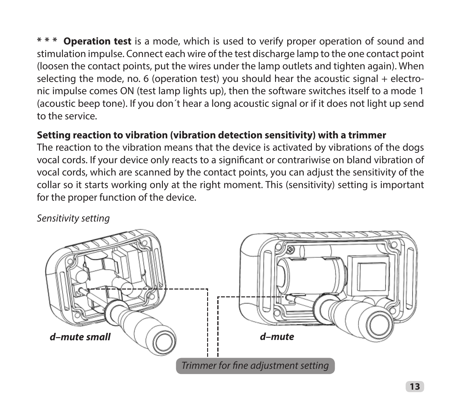**Operation test** is a mode, which is used to verify proper operation of sound and stimulation impulse. Connect each wire of the test discharge lamp to the one contact point (loosen the contact points, put the wires under the lamp outlets and tighten again). When selecting the mode, no. 6 (operation test) you should hear the acoustic signal + electronic impulse comes ON (test lamp lights up), then the software switches itself to a mode 1 (acoustic beep tone). If you don´t hear a long acoustic signal or if it does not light up send to the service.

#### **Setting reaction to vibration (vibration detection sensitivity) with a trimmer**

The reaction to the vibration means that the device is activated by vibrations of the dogs vocal cords. If your device only reacts to a significant or contrariwise on bland vibration of vocal cords, which are scanned by the contact points, you can adjust the sensitivity of the collar so it starts working only at the right moment. This (sensitivity) setting is important for the proper function of the device.

*Sensitivity setting*

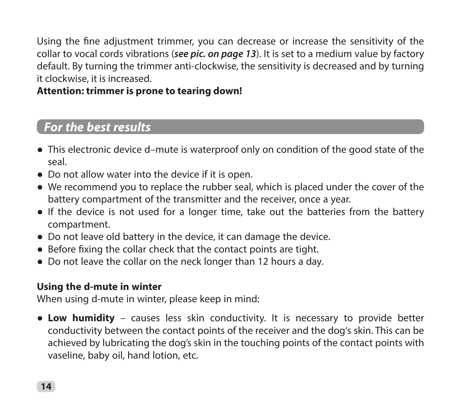Using the fine adjustment trimmer, you can decrease or increase the sensitivity of the collar to vocal cords vibrations (*see pic. on page 13*). It is set to a medium value by factory default. By turning the trimmer anti-clockwise, the sensitivity is decreased and by turning it clockwise, it is increased.

#### **Attention: trimmer is prone to tearing down!**

## *For the best results*

- This electronic device d–mute is waterproof only on condition of the good state of the seal.
- Do not allow water into the device if it is open.
- We recommend you to replace the rubber seal, which is placed under the cover of the battery compartment of the transmitter and the receiver, once a year.
- If the device is not used for a longer time, take out the batteries from the battery compartment.
- Do not leave old battery in the device, it can damage the device.
- Before fixing the collar check that the contact points are tight.
- Do not leave the collar on the neck longer than 12 hours a day.

#### **Using the d-mute in winter**

When using d-mute in winter, please keep in mind:

● **Low humidity** – causes less skin conductivity. It is necessary to provide better conductivity between the contact points of the receiver and the dog's skin. This can be achieved by lubricating the dog's skin in the touching points of the contact points with vaseline, baby oil, hand lotion, etc.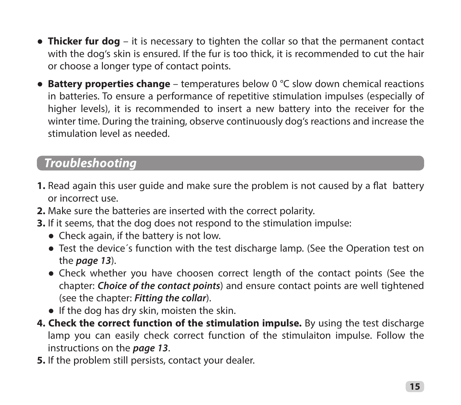- **Thicker fur dog** it is necessary to tighten the collar so that the permanent contact with the dog's skin is ensured. If the fur is too thick, it is recommended to cut the hair or choose a longer type of contact points.
- **Battery properties change** temperatures below 0 °C slow down chemical reactions in batteries. To ensure a performance of repetitive stimulation impulses (especially of higher levels), it is recommended to insert a new battery into the receiver for the winter time. During the training, observe continuously dog's reactions and increase the stimulation level as needed.

## *Troubleshooting*

- **1.** Read again this user guide and make sure the problem is not caused by a flat battery or incorrect use.
- **2.** Make sure the batteries are inserted with the correct polarity.
- **3.** If it seems, that the dog does not respond to the stimulation impulse:
	- Check again, if the battery is not low.
	- Test the device's function with the test discharge lamp. (See the Operation test on the *page 13*).
	- Check whether you have choosen correct length of the contact points (See the chapter: *Choice of the contact points*) and ensure contact points are well tightened (see the chapter: *Fitting the collar*).
	- If the dog has dry skin, moisten the skin.
- **4. Check the correct function of the stimulation impulse.** By using the test discharge lamp you can easily check correct function of the stimulaiton impulse. Follow the instructions on the *page 13*.
- **5.** If the problem still persists, contact your dealer.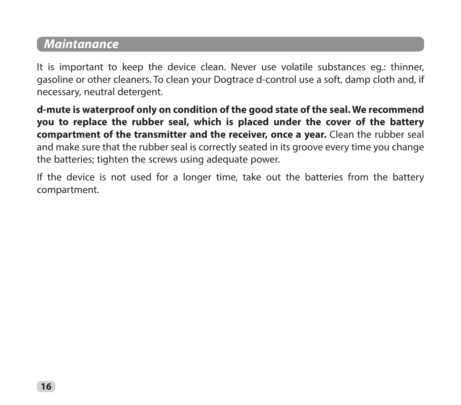## *Maintanance*

It is important to keep the device clean. Never use volatile substances eg.: thinner, gasoline or other cleaners. To clean your Dogtrace d-control use a soft, damp cloth and, if necessary, neutral detergent.

**d-mute is waterproof only on condition of the good state of the seal. We recommend you to replace the rubber seal, which is placed under the cover of the battery compartment of the transmitter and the receiver, once a year.** Clean the rubber seal and make sure that the rubber seal is correctly seated in its groove every time you change the batteries; tighten the screws using adequate power.

If the device is not used for a longer time, take out the batteries from the battery compartment.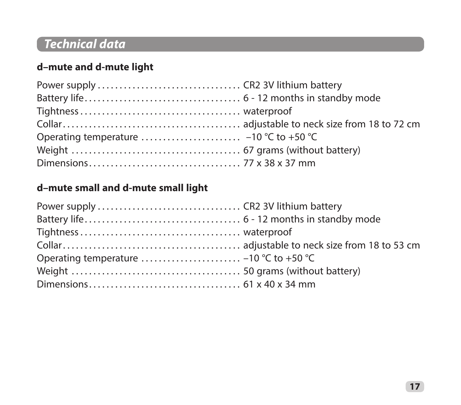# *Technical data*

## **d–mute and d-mute light**

## **d–mute small and d-mute small light**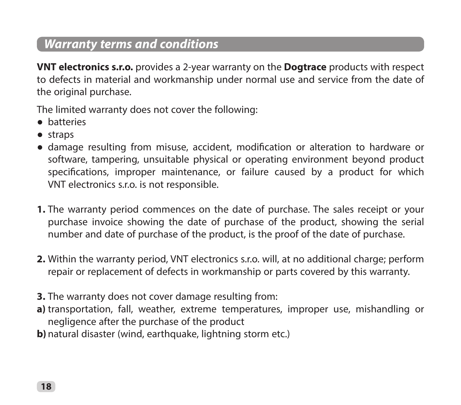## *Warranty terms and conditions*

**VNT electronics s.r.o.** provides a 2-year warranty on the **Dogtrace** products with respect to defects in material and workmanship under normal use and service from the date of the original purchase.

The limited warranty does not cover the following:

- ● batteries
- ● straps
- damage resulting from misuse, accident, modification or alteration to hardware or software, tampering, unsuitable physical or operating environment beyond product specifications, improper maintenance, or failure caused by a product for which VNT electronics s.r.o. is not responsible.
- **1.** The warranty period commences on the date of purchase. The sales receipt or your purchase invoice showing the date of purchase of the product, showing the serial number and date of purchase of the product, is the proof of the date of purchase.
- **2.** Within the warranty period, VNT electronics s.r.o. will, at no additional charge; perform repair or replacement of defects in workmanship or parts covered by this warranty.
- **3.** The warranty does not cover damage resulting from:
- **a)** transportation, fall, weather, extreme temperatures, improper use, mishandling or negligence after the purchase of the product
- **b**) natural disaster (wind, earthquake, lightning storm etc.)